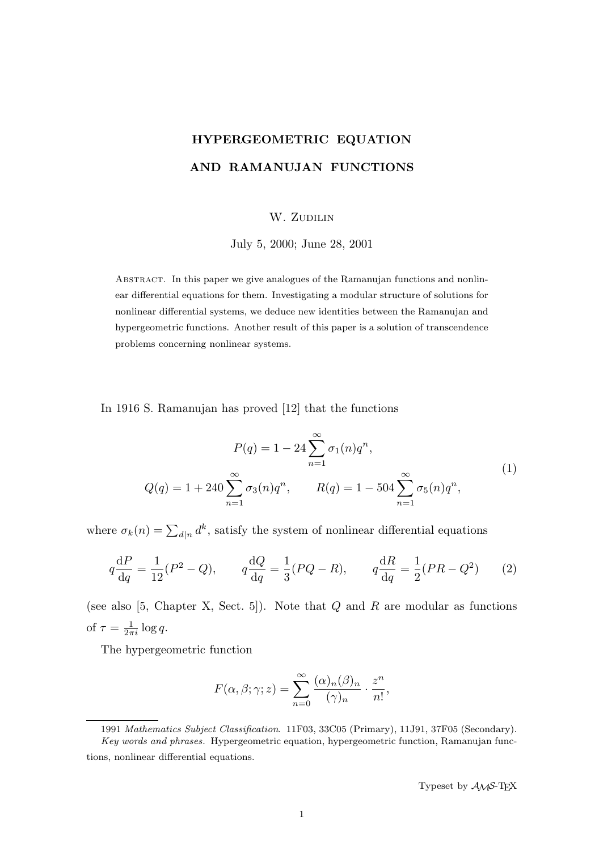# HYPERGEOMETRIC EQUATION AND RAMANUJAN FUNCTIONS

# W. ZUDILIN

July 5, 2000; June 28, 2001

Abstract. In this paper we give analogues of the Ramanujan functions and nonlinear differential equations for them. Investigating a modular structure of solutions for nonlinear differential systems, we deduce new identities between the Ramanujan and hypergeometric functions. Another result of this paper is a solution of transcendence problems concerning nonlinear systems.

In 1916 S. Ramanujan has proved [12] that the functions

$$
P(q) = 1 - 24 \sum_{n=1}^{\infty} \sigma_1(n) q^n,
$$
  
\n
$$
Q(q) = 1 + 240 \sum_{n=1}^{\infty} \sigma_3(n) q^n, \qquad R(q) = 1 - 504 \sum_{n=1}^{\infty} \sigma_5(n) q^n,
$$
\n(1)

where  $\sigma_k(n) = \sum_{d|n} d^k$ , satisfy the system of nonlinear differential equations

$$
q\frac{\mathrm{d}P}{\mathrm{d}q} = \frac{1}{12}(P^2 - Q), \qquad q\frac{\mathrm{d}Q}{\mathrm{d}q} = \frac{1}{3}(PQ - R), \qquad q\frac{\mathrm{d}R}{\mathrm{d}q} = \frac{1}{2}(PR - Q^2) \tag{2}
$$

(see also [5, Chapter X, Sect. 5]). Note that  $Q$  and  $R$  are modular as functions of  $\tau = \frac{1}{2\pi i} \log q$ .

The hypergeometric function

$$
F(\alpha, \beta; \gamma; z) = \sum_{n=0}^{\infty} \frac{(\alpha)_n (\beta)_n}{(\gamma)_n} \cdot \frac{z^n}{n!},
$$

Typeset by  $A_{\mathcal{M}}S$ -TEX

<sup>1991</sup> Mathematics Subject Classification. 11F03, 33C05 (Primary), 11J91, 37F05 (Secondary). Key words and phrases. Hypergeometric equation, hypergeometric function, Ramanujan functions, nonlinear differential equations.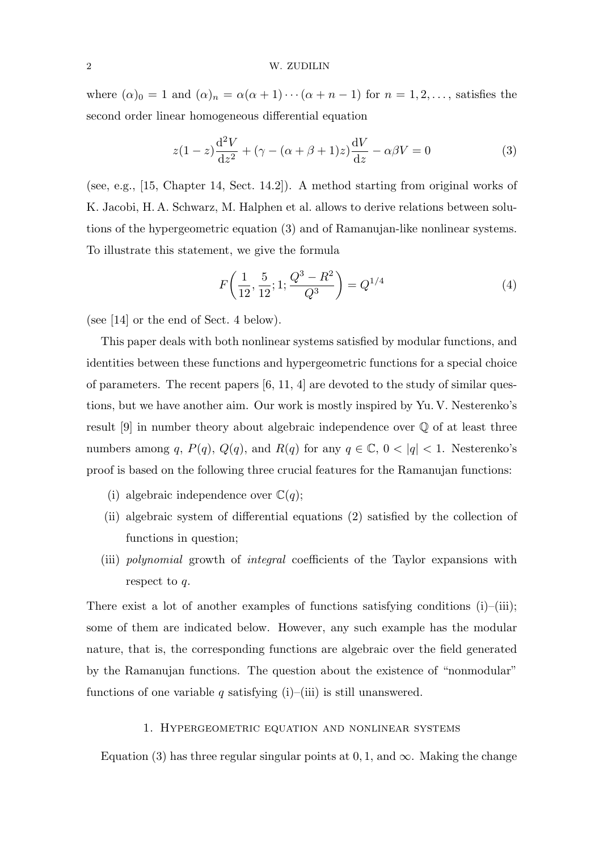where  $(\alpha)_0 = 1$  and  $(\alpha)_n = \alpha(\alpha + 1) \cdots (\alpha + n - 1)$  for  $n = 1, 2, \ldots$ , satisfies the second order linear homogeneous differential equation

$$
z(1-z)\frac{\mathrm{d}^2V}{\mathrm{d}z^2} + (\gamma - (\alpha + \beta + 1)z)\frac{\mathrm{d}V}{\mathrm{d}z} - \alpha\beta V = 0
$$
 (3)

(see, e.g., [15, Chapter 14, Sect. 14.2]). A method starting from original works of K. Jacobi, H. A. Schwarz, M. Halphen et al. allows to derive relations between solutions of the hypergeometric equation (3) and of Ramanujan-like nonlinear systems. To illustrate this statement, we give the formula

$$
F\left(\frac{1}{12}, \frac{5}{12}; 1; \frac{Q^3 - R^2}{Q^3}\right) = Q^{1/4}
$$
 (4)

(see [14] or the end of Sect. 4 below).

This paper deals with both nonlinear systems satisfied by modular functions, and identities between these functions and hypergeometric functions for a special choice of parameters. The recent papers  $[6, 11, 4]$  are devoted to the study of similar questions, but we have another aim. Our work is mostly inspired by Yu. V. Nesterenko's result [9] in number theory about algebraic independence over Q of at least three numbers among q,  $P(q)$ ,  $Q(q)$ , and  $R(q)$  for any  $q \in \mathbb{C}$ ,  $0 < |q| < 1$ . Nesterenko's proof is based on the following three crucial features for the Ramanujan functions:

- (i) algebraic independence over  $\mathbb{C}(q)$ ;
- (ii) algebraic system of differential equations (2) satisfied by the collection of functions in question;
- (iii) polynomial growth of integral coefficients of the Taylor expansions with respect to q.

There exist a lot of another examples of functions satisfying conditions (i)–(iii); some of them are indicated below. However, any such example has the modular nature, that is, the corresponding functions are algebraic over the field generated by the Ramanujan functions. The question about the existence of "nonmodular" functions of one variable q satisfying (i)–(iii) is still unanswered.

## 1. Hypergeometric equation and nonlinear systems

Equation (3) has three regular singular points at 0, 1, and  $\infty$ . Making the change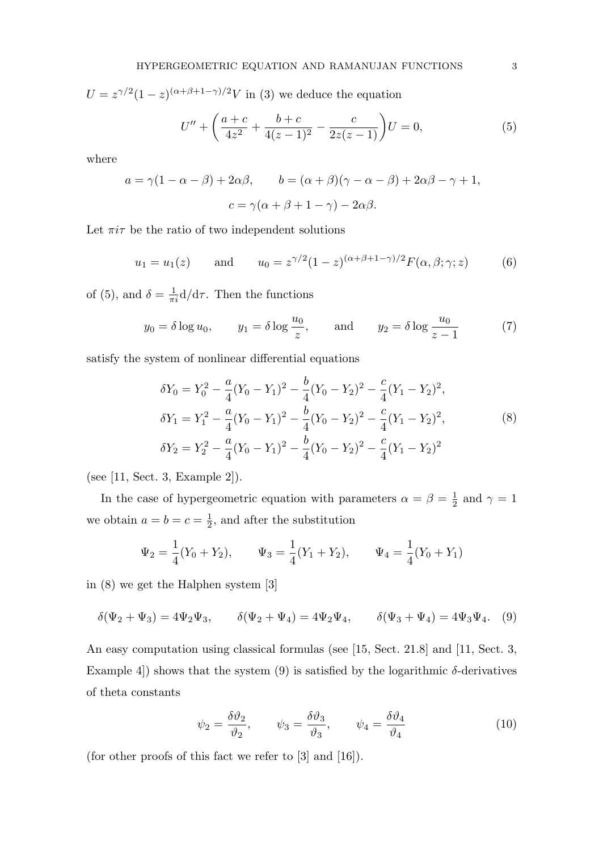$U = z^{\gamma/2} (1-z)^{(\alpha+\beta+1-\gamma)/2} V$  in (3) we deduce the equation

$$
U'' + \left(\frac{a+c}{4z^2} + \frac{b+c}{4(z-1)^2} - \frac{c}{2z(z-1)}\right)U = 0,
$$
\n(5)

where

$$
a = \gamma(1 - \alpha - \beta) + 2\alpha\beta, \qquad b = (\alpha + \beta)(\gamma - \alpha - \beta) + 2\alpha\beta - \gamma + 1,
$$

$$
c = \gamma(\alpha + \beta + 1 - \gamma) - 2\alpha\beta.
$$

Let  $\pi i\tau$  be the ratio of two independent solutions

$$
u_1 = u_1(z)
$$
 and  $u_0 = z^{\gamma/2} (1 - z)^{(\alpha + \beta + 1 - \gamma)/2} F(\alpha, \beta; \gamma; z)$  (6)

of (5), and  $\delta = \frac{1}{\pi i} d/d\tau$ . Then the functions

$$
y_0 = \delta \log u_0,
$$
  $y_1 = \delta \log \frac{u_0}{z},$  and  $y_2 = \delta \log \frac{u_0}{z-1}$  (7)

satisfy the system of nonlinear differential equations

$$
\delta Y_0 = Y_0^2 - \frac{a}{4}(Y_0 - Y_1)^2 - \frac{b}{4}(Y_0 - Y_2)^2 - \frac{c}{4}(Y_1 - Y_2)^2,
$$
  
\n
$$
\delta Y_1 = Y_1^2 - \frac{a}{4}(Y_0 - Y_1)^2 - \frac{b}{4}(Y_0 - Y_2)^2 - \frac{c}{4}(Y_1 - Y_2)^2,
$$
  
\n
$$
\delta Y_2 = Y_2^2 - \frac{a}{4}(Y_0 - Y_1)^2 - \frac{b}{4}(Y_0 - Y_2)^2 - \frac{c}{4}(Y_1 - Y_2)^2
$$
\n(8)

(see [11, Sect. 3, Example 2]).

In the case of hypergeometric equation with parameters  $\alpha = \beta = \frac{1}{2}$  $\frac{1}{2}$  and  $\gamma = 1$ we obtain  $a = b = c = \frac{1}{2}$  $\frac{1}{2}$ , and after the substitution

$$
\Psi_2 = \frac{1}{4}(Y_0 + Y_2),
$$
\n $\Psi_3 = \frac{1}{4}(Y_1 + Y_2),$ \n $\Psi_4 = \frac{1}{4}(Y_0 + Y_1)$ 

in (8) we get the Halphen system [3]

$$
\delta(\Psi_2 + \Psi_3) = 4\Psi_2\Psi_3, \qquad \delta(\Psi_2 + \Psi_4) = 4\Psi_2\Psi_4, \qquad \delta(\Psi_3 + \Psi_4) = 4\Psi_3\Psi_4. \tag{9}
$$

An easy computation using classical formulas (see [15, Sect. 21.8] and [11, Sect. 3, Example 4) shows that the system  $(9)$  is satisfied by the logarithmic  $\delta$ -derivatives of theta constants

$$
\psi_2 = \frac{\delta \vartheta_2}{\vartheta_2}, \qquad \psi_3 = \frac{\delta \vartheta_3}{\vartheta_3}, \qquad \psi_4 = \frac{\delta \vartheta_4}{\vartheta_4} \tag{10}
$$

(for other proofs of this fact we refer to [3] and [16]).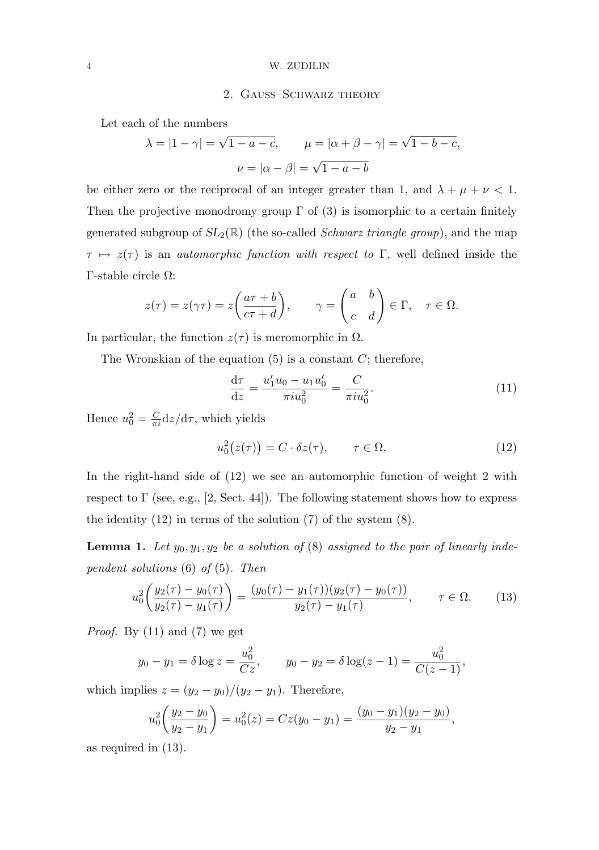# 2. Gauss–Schwarz theory

Let each of the numbers

$$
\lambda = |1 - \gamma| = \sqrt{1 - a - c}, \qquad \mu = |\alpha + \beta - \gamma| = \sqrt{1 - b - c},
$$

$$
\nu = |\alpha - \beta| = \sqrt{1 - a - b}
$$

be either zero or the reciprocal of an integer greater than 1, and  $\lambda + \mu + \nu < 1$ . Then the projective monodromy group  $\Gamma$  of (3) is isomorphic to a certain finitely generated subgroup of  $SL_2(\mathbb{R})$  (the so-called *Schwarz triangle group*), and the map  $\tau \mapsto z(\tau)$  is an *automorphic function with respect to* Γ, well defined inside the Γ-stable circle Ω:

$$
z(\tau) = z(\gamma \tau) = z\left(\frac{a\tau + b}{c\tau + d}\right), \qquad \gamma = \begin{pmatrix} a & b \\ c & d \end{pmatrix} \in \Gamma, \quad \tau \in \Omega.
$$

In particular, the function  $z(\tau)$  is meromorphic in  $\Omega$ .

The Wronskian of the equation  $(5)$  is a constant C; therefore,

$$
\frac{\mathrm{d}\tau}{\mathrm{d}z} = \frac{u_1' u_0 - u_1 u_0'}{\pi i u_0^2} = \frac{C}{\pi i u_0^2}.
$$
\n(11)

Hence  $u_0^2 = \frac{C}{\pi i} dz/d\tau$ , which yields

$$
u_0^2(z(\tau)) = C \cdot \delta z(\tau), \qquad \tau \in \Omega.
$$
 (12)

In the right-hand side of (12) we see an automorphic function of weight 2 with respect to  $\Gamma$  (see, e.g., [2, Sect. 44]). The following statement shows how to express the identity  $(12)$  in terms of the solution  $(7)$  of the system  $(8)$ .

**Lemma 1.** Let  $y_0, y_1, y_2$  be a solution of (8) assigned to the pair of linearly independent solutions  $(6)$  of  $(5)$ . Then

$$
u_0^2 \left( \frac{y_2(\tau) - y_0(\tau)}{y_2(\tau) - y_1(\tau)} \right) = \frac{(y_0(\tau) - y_1(\tau))(y_2(\tau) - y_0(\tau))}{y_2(\tau) - y_1(\tau)}, \qquad \tau \in \Omega. \tag{13}
$$

*Proof.* By  $(11)$  and  $(7)$  we get

$$
y_0 - y_1 = \delta \log z = \frac{u_0^2}{Cz},
$$
  $y_0 - y_2 = \delta \log(z - 1) = \frac{u_0^2}{C(z - 1)},$ 

which implies  $z = (y_2 - y_0)/(y_2 - y_1)$ . Therefore,

$$
u_0^2\left(\frac{y_2-y_0}{y_2-y_1}\right) = u_0^2(z) = Cz(y_0-y_1) = \frac{(y_0-y_1)(y_2-y_0)}{y_2-y_1},
$$

as required in (13).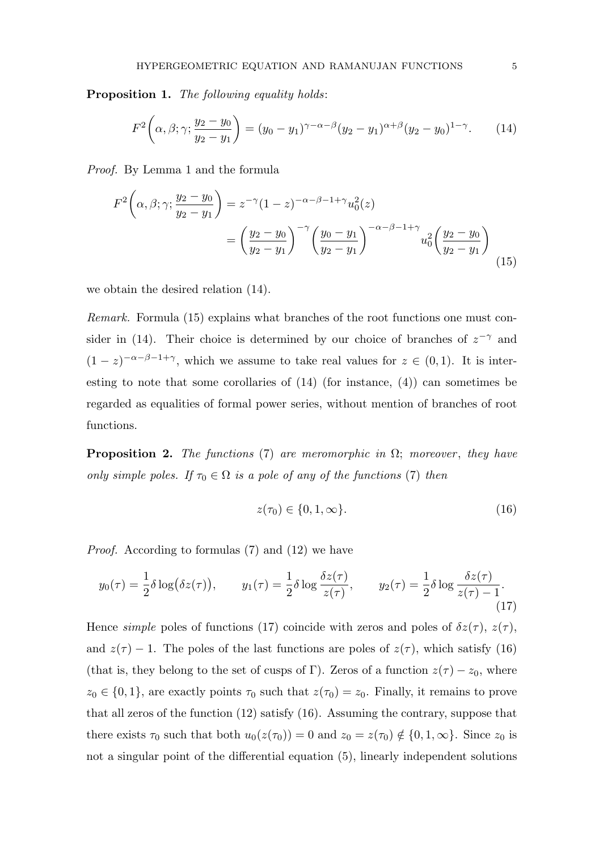Proposition 1. The following equality holds:

$$
F^{2}\left(\alpha,\beta;\gamma;\frac{y_{2}-y_{0}}{y_{2}-y_{1}}\right) = (y_{0}-y_{1})^{\gamma-\alpha-\beta}(y_{2}-y_{1})^{\alpha+\beta}(y_{2}-y_{0})^{1-\gamma}.
$$
 (14)

Proof. By Lemma 1 and the formula

$$
F^{2}\left(\alpha,\beta;\gamma;\frac{y_{2}-y_{0}}{y_{2}-y_{1}}\right) = z^{-\gamma}(1-z)^{-\alpha-\beta-1+\gamma}u_{0}^{2}(z)
$$

$$
=\left(\frac{y_{2}-y_{0}}{y_{2}-y_{1}}\right)^{-\gamma}\left(\frac{y_{0}-y_{1}}{y_{2}-y_{1}}\right)^{-\alpha-\beta-1+\gamma}u_{0}^{2}\left(\frac{y_{2}-y_{0}}{y_{2}-y_{1}}\right)
$$
(15)

we obtain the desired relation (14).

Remark. Formula (15) explains what branches of the root functions one must consider in (14). Their choice is determined by our choice of branches of  $z^{-\gamma}$  and  $(1-z)^{-\alpha-\beta-1+\gamma}$ , which we assume to take real values for  $z \in (0,1)$ . It is interesting to note that some corollaries of (14) (for instance, (4)) can sometimes be regarded as equalities of formal power series, without mention of branches of root functions.

**Proposition 2.** The functions (7) are meromorphic in  $\Omega$ ; moreover, they have only simple poles. If  $\tau_0 \in \Omega$  is a pole of any of the functions (7) then

$$
z(\tau_0) \in \{0, 1, \infty\}.
$$
 (16)

Proof. According to formulas (7) and (12) we have

$$
y_0(\tau) = \frac{1}{2}\delta \log(\delta z(\tau)), \qquad y_1(\tau) = \frac{1}{2}\delta \log \frac{\delta z(\tau)}{z(\tau)}, \qquad y_2(\tau) = \frac{1}{2}\delta \log \frac{\delta z(\tau)}{z(\tau) - 1}.
$$
\n(17)

Hence simple poles of functions (17) coincide with zeros and poles of  $\delta z(\tau)$ ,  $z(\tau)$ , and  $z(\tau) - 1$ . The poles of the last functions are poles of  $z(\tau)$ , which satisfy (16) (that is, they belong to the set of cusps of Γ). Zeros of a function  $z(\tau) - z_0$ , where  $z_0 \in \{0, 1\}$ , are exactly points  $\tau_0$  such that  $z(\tau_0) = z_0$ . Finally, it remains to prove that all zeros of the function (12) satisfy (16). Assuming the contrary, suppose that there exists  $\tau_0$  such that both  $u_0(z(\tau_0)) = 0$  and  $z_0 = z(\tau_0) \notin \{0, 1, \infty\}$ . Since  $z_0$  is not a singular point of the differential equation (5), linearly independent solutions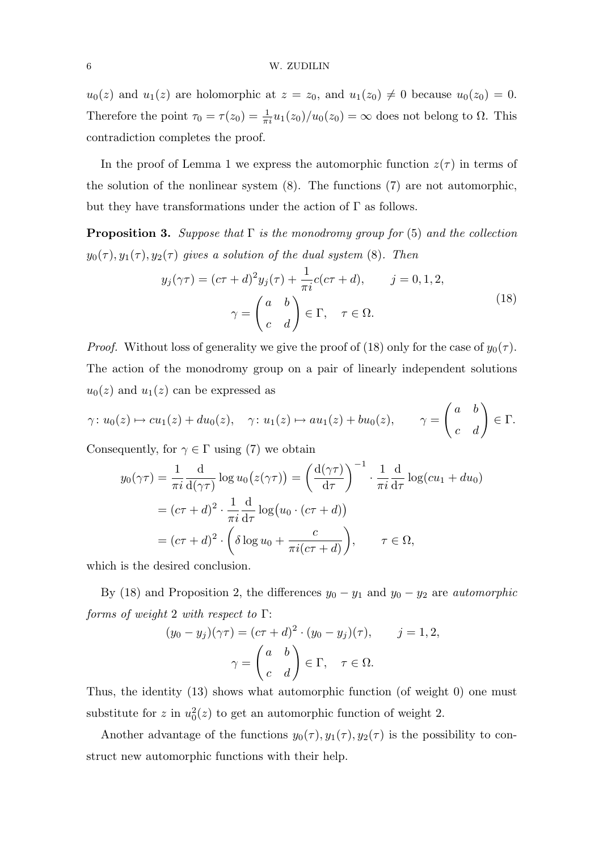$u_0(z)$  and  $u_1(z)$  are holomorphic at  $z = z_0$ , and  $u_1(z_0) \neq 0$  because  $u_0(z_0) = 0$ . Therefore the point  $\tau_0 = \tau(z_0) = \frac{1}{\pi i} u_1(z_0) / u_0(z_0) = \infty$  does not belong to  $\Omega$ . This contradiction completes the proof.

In the proof of Lemma 1 we express the automorphic function  $z(\tau)$  in terms of the solution of the nonlinear system (8). The functions (7) are not automorphic, but they have transformations under the action of  $\Gamma$  as follows.

**Proposition 3.** Suppose that  $\Gamma$  is the monodromy group for (5) and the collection  $y_0(\tau), y_1(\tau), y_2(\tau)$  gives a solution of the dual system (8). Then

$$
y_j(\gamma \tau) = (c\tau + d)^2 y_j(\tau) + \frac{1}{\pi i} c(c\tau + d), \qquad j = 0, 1, 2,
$$
  

$$
\gamma = \begin{pmatrix} a & b \\ c & d \end{pmatrix} \in \Gamma, \quad \tau \in \Omega.
$$
 (18)

*Proof.* Without loss of generality we give the proof of (18) only for the case of  $y_0(\tau)$ . The action of the monodromy group on a pair of linearly independent solutions  $u_0(z)$  and  $u_1(z)$  can be expressed as

$$
\gamma: u_0(z) \mapsto cu_1(z) + du_0(z), \quad \gamma: u_1(z) \mapsto au_1(z) + bu_0(z), \qquad \gamma = \begin{pmatrix} a & b \\ c & d \end{pmatrix} \in \Gamma.
$$

Consequently, for  $\gamma \in \Gamma$  using (7) we obtain

$$
y_0(\gamma \tau) = \frac{1}{\pi i} \frac{d}{d(\gamma \tau)} \log u_0(z(\gamma \tau)) = \left(\frac{d(\gamma \tau)}{d\tau}\right)^{-1} \cdot \frac{1}{\pi i} \frac{d}{d\tau} \log(c u_1 + d u_0)
$$
  
=  $(c\tau + d)^2 \cdot \frac{1}{\pi i} \frac{d}{d\tau} \log(u_0 \cdot (c\tau + d))$   
=  $(c\tau + d)^2 \cdot \left(\delta \log u_0 + \frac{c}{\pi i(c\tau + d)}\right), \qquad \tau \in \Omega,$ 

which is the desired conclusion.

By (18) and Proposition 2, the differences  $y_0 - y_1$  and  $y_0 - y_2$  are *automorphic* forms of weight 2 with respect to  $\Gamma$ :

$$
(y_0 - y_j)(\gamma \tau) = (c\tau + d)^2 \cdot (y_0 - y_j)(\tau), \qquad j = 1, 2,
$$

$$
\gamma = \begin{pmatrix} a & b \\ c & d \end{pmatrix} \in \Gamma, \quad \tau \in \Omega.
$$

Thus, the identity (13) shows what automorphic function (of weight 0) one must substitute for z in  $u_0^2(z)$  to get an automorphic function of weight 2.

Another advantage of the functions  $y_0(\tau)$ ,  $y_1(\tau)$ ,  $y_2(\tau)$  is the possibility to construct new automorphic functions with their help.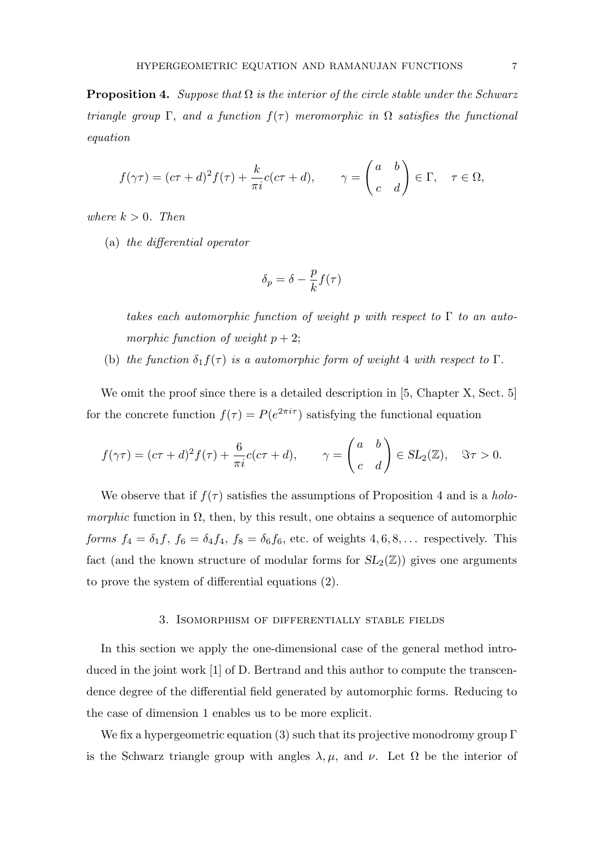**Proposition 4.** Suppose that  $\Omega$  is the interior of the circle stable under the Schwarz triangle group  $\Gamma$ , and a function  $f(\tau)$  meromorphic in  $\Omega$  satisfies the functional equation

$$
f(\gamma \tau) = (c\tau + d)^2 f(\tau) + \frac{k}{\pi i} c(c\tau + d), \qquad \gamma = \begin{pmatrix} a & b \\ c & d \end{pmatrix} \in \Gamma, \quad \tau \in \Omega,
$$

where  $k > 0$ . Then

(a) the differential operator

$$
\delta_p = \delta - \frac{p}{k} f(\tau)
$$

takes each automorphic function of weight p with respect to  $\Gamma$  to an automorphic function of weight  $p + 2$ ;

(b) the function  $\delta_1 f(\tau)$  is a automorphic form of weight 4 with respect to  $\Gamma$ .

We omit the proof since there is a detailed description in [5, Chapter X, Sect. 5] for the concrete function  $f(\tau) = P(e^{2\pi i \tau})$  satisfying the functional equation

$$
f(\gamma \tau) = (c\tau + d)^2 f(\tau) + \frac{6}{\pi i} c(c\tau + d), \qquad \gamma = \begin{pmatrix} a & b \\ c & d \end{pmatrix} \in SL_2(\mathbb{Z}), \quad \Im \tau > 0.
$$

We observe that if  $f(\tau)$  satisfies the assumptions of Proposition 4 and is a *holo*morphic function in  $\Omega$ , then, by this result, one obtains a sequence of automorphic forms  $f_4 = \delta_1 f$ ,  $f_6 = \delta_4 f_4$ ,  $f_8 = \delta_6 f_6$ , etc. of weights  $4, 6, 8, \ldots$  respectively. This fact (and the known structure of modular forms for  $SL_2(\mathbb{Z})$ ) gives one arguments to prove the system of differential equations (2).

## 3. Isomorphism of differentially stable fields

In this section we apply the one-dimensional case of the general method introduced in the joint work [1] of D. Bertrand and this author to compute the transcendence degree of the differential field generated by automorphic forms. Reducing to the case of dimension 1 enables us to be more explicit.

We fix a hypergeometric equation (3) such that its projective monodromy group  $\Gamma$ is the Schwarz triangle group with angles  $\lambda, \mu$ , and  $\nu$ . Let  $\Omega$  be the interior of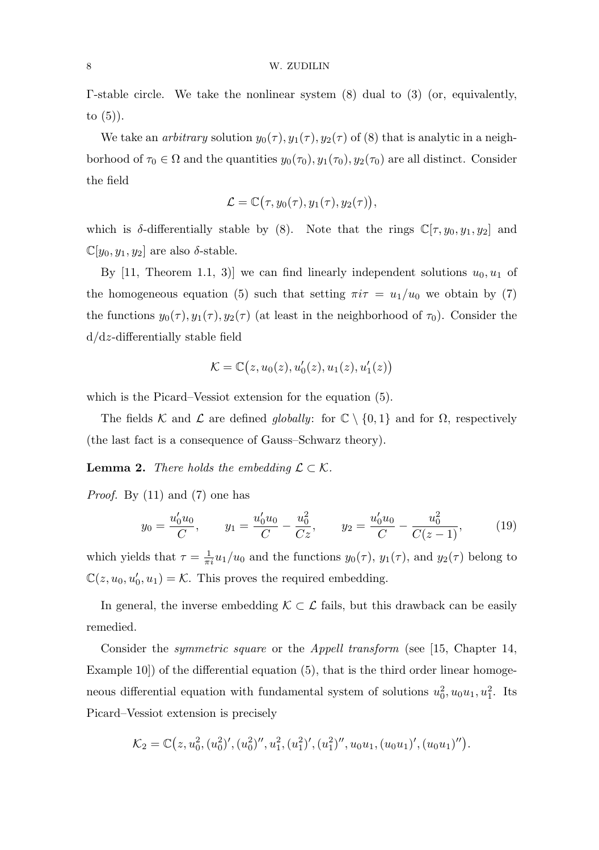Γ-stable circle. We take the nonlinear system (8) dual to (3) (or, equivalently, to  $(5)$ ).

We take an *arbitrary* solution  $y_0(\tau)$ ,  $y_1(\tau)$ ,  $y_2(\tau)$  of (8) that is analytic in a neighborhood of  $\tau_0 \in \Omega$  and the quantities  $y_0(\tau_0), y_1(\tau_0), y_2(\tau_0)$  are all distinct. Consider the field

$$
\mathcal{L} = \mathbb{C}(\tau, y_0(\tau), y_1(\tau), y_2(\tau)),
$$

which is  $\delta$ -differentially stable by (8). Note that the rings  $\mathbb{C}[\tau, y_0, y_1, y_2]$  and  $\mathbb{C}[y_0, y_1, y_2]$  are also  $\delta$ -stable.

By [11, Theorem 1.1, 3)] we can find linearly independent solutions  $u_0, u_1$  of the homogeneous equation (5) such that setting  $\pi i \tau = u_1/u_0$  we obtain by (7) the functions  $y_0(\tau)$ ,  $y_1(\tau)$ ,  $y_2(\tau)$  (at least in the neighborhood of  $\tau_0$ ). Consider the d/dz-differentially stable field

$$
\mathcal{K}=\mathbb{C}\big(z,u_0(z),u_0'(z),u_1(z),u_1'(z)\big)
$$

which is the Picard–Vessiot extension for the equation (5).

The fields K and L are defined globally: for  $\mathbb{C} \setminus \{0,1\}$  and for  $\Omega$ , respectively (the last fact is a consequence of Gauss–Schwarz theory).

**Lemma 2.** There holds the embedding  $\mathcal{L} \subset \mathcal{K}$ .

Proof. By (11) and (7) one has

$$
y_0 = \frac{u'_0 u_0}{C}, \qquad y_1 = \frac{u'_0 u_0}{C} - \frac{u_0^2}{Cz}, \qquad y_2 = \frac{u'_0 u_0}{C} - \frac{u_0^2}{C(z-1)}, \tag{19}
$$

which yields that  $\tau = \frac{1}{\pi i} u_1/u_0$  and the functions  $y_0(\tau)$ ,  $y_1(\tau)$ , and  $y_2(\tau)$  belong to  $\mathbb{C}(z, u_0, u'_0, u_1) = \mathcal{K}$ . This proves the required embedding.

In general, the inverse embedding  $K \subset \mathcal{L}$  fails, but this drawback can be easily remedied.

Consider the symmetric square or the Appell transform (see [15, Chapter 14, Example 10) of the differential equation  $(5)$ , that is the third order linear homogeneous differential equation with fundamental system of solutions  $u_0^2, u_0u_1, u_1^2$ . Its Picard–Vessiot extension is precisely

$$
\mathcal{K}_2=\mathbb{C}(z,u_0^2,(u_0^2)',(u_0^2)'',u_1^2,(u_1^2)',(u_1^2)'',u_0u_1,(u_0u_1)',(u_0u_1)'').
$$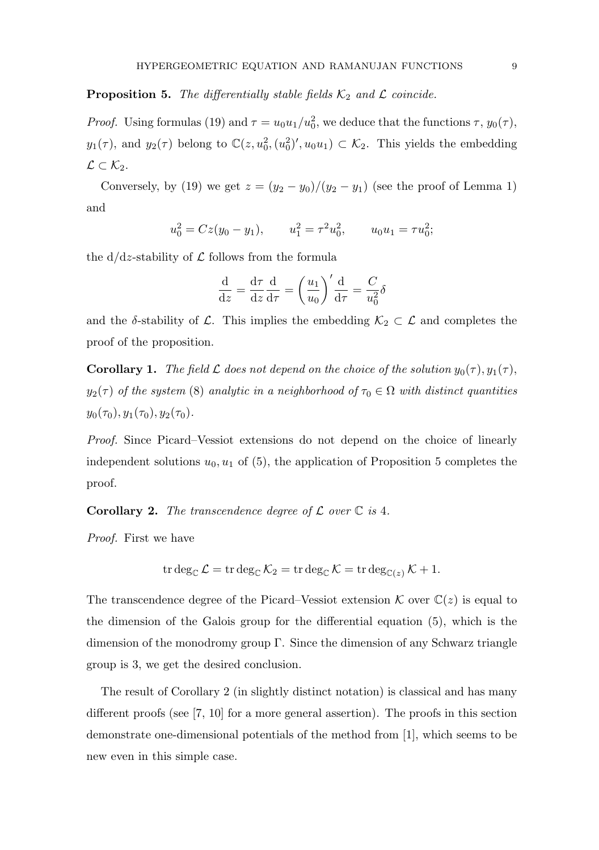# **Proposition 5.** The differentially stable fields  $K_2$  and  $\mathcal{L}$  coincide.

*Proof.* Using formulas (19) and  $\tau = u_0 u_1 / u_0^2$ , we deduce that the functions  $\tau$ ,  $y_0(\tau)$ ,  $y_1(\tau)$ , and  $y_2(\tau)$  belong to  $\mathbb{C}(z, u_0^2, (u_0^2)', u_0 u_1) \subset \mathcal{K}_2$ . This yields the embedding  $\mathcal{L} \subset \mathcal{K}_2$ .

Conversely, by (19) we get  $z = (y_2 - y_0)/(y_2 - y_1)$  (see the proof of Lemma 1) and

$$
u_0^2 = Cz(y_0 - y_1),
$$
  $u_1^2 = \tau^2 u_0^2,$   $u_0 u_1 = \tau u_0^2;$ 

the  $d/dz$ -stability of  $\mathcal L$  follows from the formula

$$
\frac{\mathrm{d}}{\mathrm{d}z} = \frac{\mathrm{d}\tau}{\mathrm{d}z}\frac{\mathrm{d}}{\mathrm{d}\tau} = \left(\frac{u_1}{u_0}\right)'\frac{\mathrm{d}}{\mathrm{d}\tau} = \frac{C}{u_0^2}\delta
$$

and the  $\delta$ -stability of  $\mathcal{L}$ . This implies the embedding  $\mathcal{K}_2 \subset \mathcal{L}$  and completes the proof of the proposition.

**Corollary 1.** The field L does not depend on the choice of the solution  $y_0(\tau)$ ,  $y_1(\tau)$ ,  $y_2(\tau)$  of the system (8) analytic in a neighborhood of  $\tau_0 \in \Omega$  with distinct quantities  $y_0(\tau_0), y_1(\tau_0), y_2(\tau_0).$ 

Proof. Since Picard–Vessiot extensions do not depend on the choice of linearly independent solutions  $u_0, u_1$  of (5), the application of Proposition 5 completes the proof.

**Corollary 2.** The transcendence degree of  $\mathcal{L}$  over  $\mathbb{C}$  is 4.

Proof. First we have

$$
\operatorname{tr} \deg_{\mathbb{C}} \mathcal{L} = \operatorname{tr} \deg_{\mathbb{C}} \mathcal{K}_2 = \operatorname{tr} \deg_{\mathbb{C}} \mathcal{K} = \operatorname{tr} \deg_{\mathbb{C}(z)} \mathcal{K} + 1.
$$

The transcendence degree of the Picard–Vessiot extension  $\mathcal K$  over  $\mathbb C(z)$  is equal to the dimension of the Galois group for the differential equation (5), which is the dimension of the monodromy group  $\Gamma$ . Since the dimension of any Schwarz triangle group is 3, we get the desired conclusion.

The result of Corollary 2 (in slightly distinct notation) is classical and has many different proofs (see [7, 10] for a more general assertion). The proofs in this section demonstrate one-dimensional potentials of the method from [1], which seems to be new even in this simple case.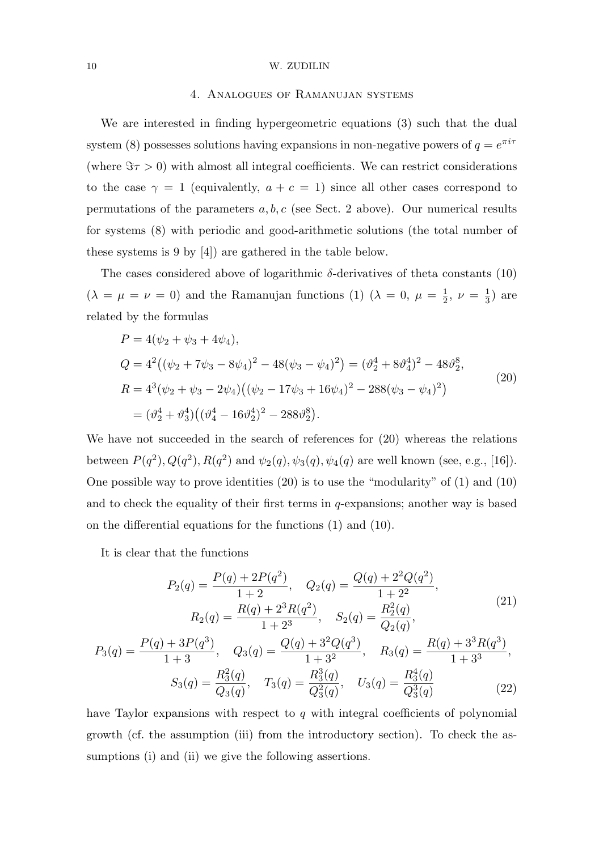## 4. Analogues of Ramanujan systems

We are interested in finding hypergeometric equations (3) such that the dual system (8) possesses solutions having expansions in non-negative powers of  $q = e^{\pi i \tau}$ (where  $\Im \tau > 0$ ) with almost all integral coefficients. We can restrict considerations to the case  $\gamma = 1$  (equivalently,  $a + c = 1$ ) since all other cases correspond to permutations of the parameters  $a, b, c$  (see Sect. 2 above). Our numerical results for systems (8) with periodic and good-arithmetic solutions (the total number of these systems is 9 by [4]) are gathered in the table below.

The cases considered above of logarithmic  $\delta$ -derivatives of theta constants (10)  $(\lambda = \mu = \nu = 0)$  and the Ramanujan functions (1)  $(\lambda = 0, \mu = \frac{1}{2})$  $\frac{1}{2}$ ,  $\nu = \frac{1}{3}$  $\frac{1}{3}$ ) are related by the formulas

$$
P = 4(\psi_2 + \psi_3 + 4\psi_4),
$$
  
\n
$$
Q = 4^2((\psi_2 + 7\psi_3 - 8\psi_4)^2 - 48(\psi_3 - \psi_4)^2) = (\vartheta_2^4 + 8\vartheta_4^4)^2 - 48\vartheta_2^8,
$$
  
\n
$$
R = 4^3(\psi_2 + \psi_3 - 2\psi_4)((\psi_2 - 17\psi_3 + 16\psi_4)^2 - 288(\psi_3 - \psi_4)^2)
$$
  
\n
$$
= (\vartheta_2^4 + \vartheta_3^4)((\vartheta_4^4 - 16\vartheta_2^4)^2 - 288\vartheta_2^8).
$$
\n(20)

We have not succeeded in the search of references for  $(20)$  whereas the relations between  $P(q^2), Q(q^2), R(q^2)$  and  $\psi_2(q), \psi_3(q), \psi_4(q)$  are well known (see, e.g., [16]). One possible way to prove identities (20) is to use the "modularity" of (1) and (10) and to check the equality of their first terms in  $q$ -expansions; another way is based on the differential equations for the functions (1) and (10).

It is clear that the functions

$$
P_2(q) = \frac{P(q) + 2P(q^2)}{1+2}, \quad Q_2(q) = \frac{Q(q) + 2^2 Q(q^2)}{1+2^2},
$$
  
\n
$$
R_2(q) = \frac{R(q) + 2^3 R(q^2)}{1+2^3}, \quad S_2(q) = \frac{R_2^2(q)}{Q_2(q)},
$$
\n(21)

$$
P_3(q) = \frac{P(q) + 3P(q^3)}{1+3}, \quad Q_3(q) = \frac{Q(q) + 3^2 Q(q^3)}{1+3^2}, \quad R_3(q) = \frac{R(q) + 3^3 R(q^3)}{1+3^3},
$$

$$
S_3(q) = \frac{R_3^2(q)}{Q_3(q)}, \quad T_3(q) = \frac{R_3^3(q)}{Q_3^2(q)}, \quad U_3(q) = \frac{R_3^4(q)}{Q_3^3(q)}\tag{22}
$$

have Taylor expansions with respect to  $q$  with integral coefficients of polynomial growth (cf. the assumption (iii) from the introductory section). To check the assumptions (i) and (ii) we give the following assertions.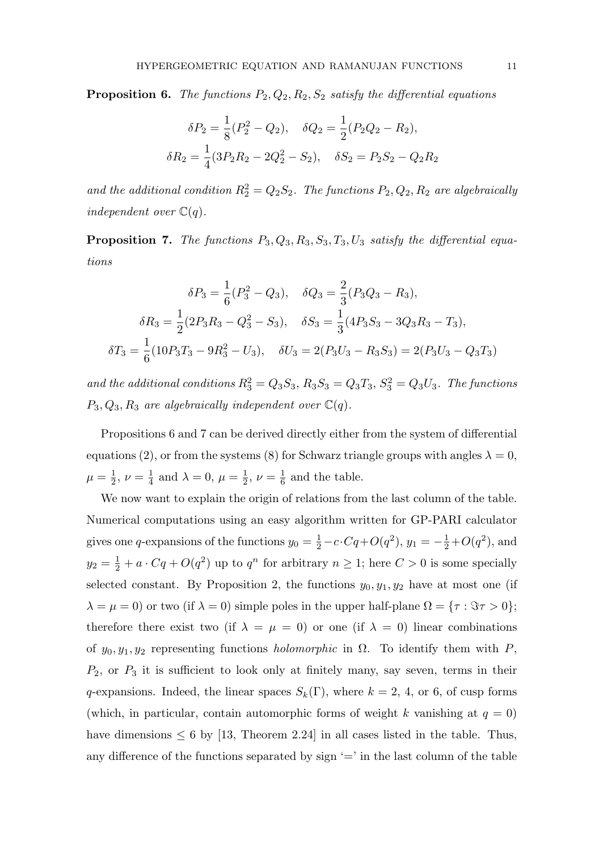**Proposition 6.** The functions  $P_2, Q_2, R_2, S_2$  satisfy the differential equations

$$
\delta P_2 = \frac{1}{8} (P_2^2 - Q_2), \quad \delta Q_2 = \frac{1}{2} (P_2 Q_2 - R_2),
$$
  

$$
\delta R_2 = \frac{1}{4} (3P_2 R_2 - 2Q_2^2 - S_2), \quad \delta S_2 = P_2 S_2 - Q_2 R_2
$$

and the additional condition  $R_2^2 = Q_2 S_2$ . The functions  $P_2, Q_2, R_2$  are algebraically independent over  $\mathbb{C}(q)$ .

**Proposition 7.** The functions  $P_3, Q_3, R_3, S_3, T_3, U_3$  satisfy the differential equations

$$
\delta P_3 = \frac{1}{6}(P_3^2 - Q_3), \quad \delta Q_3 = \frac{2}{3}(P_3Q_3 - R_3),
$$

$$
\delta R_3 = \frac{1}{2}(2P_3R_3 - Q_3^2 - S_3), \quad \delta S_3 = \frac{1}{3}(4P_3S_3 - 3Q_3R_3 - T_3),
$$

$$
\delta T_3 = \frac{1}{6}(10P_3T_3 - 9R_3^2 - U_3), \quad \delta U_3 = 2(P_3U_3 - R_3S_3) = 2(P_3U_3 - Q_3T_3)
$$

and the additional conditions  $R_3^2 = Q_3S_3$ ,  $R_3S_3 = Q_3T_3$ ,  $S_3^2 = Q_3U_3$ . The functions  $P_3, Q_3, R_3$  are algebraically independent over  $\mathbb{C}(q)$ .

Propositions 6 and 7 can be derived directly either from the system of differential equations (2), or from the systems (8) for Schwarz triangle groups with angles  $\lambda = 0$ ,  $\mu = \frac{1}{2}$  $\frac{1}{2}, \nu = \frac{1}{4}$  $\frac{1}{4}$  and  $\lambda = 0, \mu = \frac{1}{2}$  $\frac{1}{2}, \nu = \frac{1}{6}$  $\frac{1}{6}$  and the table.

We now want to explain the origin of relations from the last column of the table. Numerical computations using an easy algorithm written for GP-PARI calculator gives one q-expansions of the functions  $y_0 = \frac{1}{2}$  $\frac{1}{2} - c \cdot Cq + O(q^2), y_1 = -\frac{1}{2}$  $\frac{1}{2} + O(q^2)$ , and  $y_2 = \frac{1}{2}$  $\frac{1}{2} + a \cdot Cq + O(q^2)$  up to  $q^n$  for arbitrary  $n \geq 1$ ; here  $C > 0$  is some specially selected constant. By Proposition 2, the functions  $y_0, y_1, y_2$  have at most one (if  $\lambda = \mu = 0$ ) or two (if  $\lambda = 0$ ) simple poles in the upper half-plane  $\Omega = \{ \tau : \Im \tau > 0 \};$ therefore there exist two (if  $\lambda = \mu = 0$ ) or one (if  $\lambda = 0$ ) linear combinations of  $y_0, y_1, y_2$  representing functions *holomorphic* in  $\Omega$ . To identify them with P,  $P_2$ , or  $P_3$  it is sufficient to look only at finitely many, say seven, terms in their q-expansions. Indeed, the linear spaces  $S_k(\Gamma)$ , where  $k = 2, 4$ , or 6, of cusp forms (which, in particular, contain automorphic forms of weight k vanishing at  $q = 0$ ) have dimensions  $\leq 6$  by [13, Theorem 2.24] in all cases listed in the table. Thus, any difference of the functions separated by sign  $=$  in the last column of the table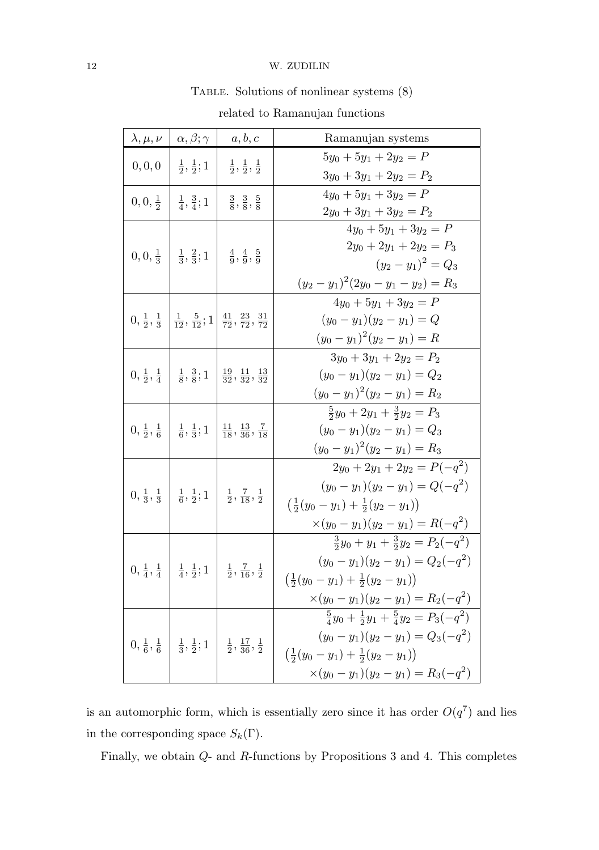# TABLE. Solutions of nonlinear systems  $(8)$

| $\lambda,\mu,\nu$   | $\alpha, \beta; \gamma$                                                                                                        | a, b, c                                                                                                                             | Ramanujan systems                                              |
|---------------------|--------------------------------------------------------------------------------------------------------------------------------|-------------------------------------------------------------------------------------------------------------------------------------|----------------------------------------------------------------|
| 0, 0, 0             | $\frac{1}{2}, \frac{1}{2}; 1$                                                                                                  | $\frac{1}{2}, \frac{1}{2}, \frac{1}{2}$                                                                                             | $5y_0 + 5y_1 + 2y_2 = P$                                       |
|                     |                                                                                                                                |                                                                                                                                     | $3y_0 + 3y_1 + 2y_2 = P_2$                                     |
| $0, 0, \frac{1}{2}$ | $\frac{1}{4}, \frac{3}{4}; 1$                                                                                                  | $\frac{3}{8}, \frac{3}{8}, \frac{5}{8}$                                                                                             | $4y_0 + 5y_1 + 3y_2 = P$                                       |
|                     |                                                                                                                                |                                                                                                                                     | $2y_0 + 3y_1 + 3y_2 = P_2$                                     |
|                     | $0, 0, \frac{1}{3}$ $\left  \frac{1}{3}, \frac{2}{3}; 1 \right $ $\frac{4}{9}, \frac{4}{9}, \frac{5}{9}$                       |                                                                                                                                     | $4y_0 + 5y_1 + 3y_2 = P$                                       |
|                     |                                                                                                                                |                                                                                                                                     | $2y_0 + 2y_1 + 2y_2 = P_3$                                     |
|                     |                                                                                                                                |                                                                                                                                     | $(y_2-y_1)^2=Q_3$                                              |
|                     |                                                                                                                                |                                                                                                                                     | $(y_2-y_1)^2(2y_0-y_1-y_2)=R_3$                                |
|                     |                                                                                                                                | $0, \frac{1}{2}, \frac{1}{3}$ $\left  \frac{1}{12}, \frac{5}{12}; 1 \right  \frac{41}{72}, \frac{23}{72}, \frac{31}{72}$            | $4y_0 + 5y_1 + 3y_2 = P$                                       |
|                     |                                                                                                                                |                                                                                                                                     | $(y_0 - y_1)(y_2 - y_1) = Q$                                   |
|                     |                                                                                                                                |                                                                                                                                     | $(y_0-y_1)^2(y_2-y_1)=R$                                       |
|                     |                                                                                                                                | $0, \frac{1}{2}, \frac{1}{4}$ $\frac{1}{8}, \frac{3}{8}; 1$ $\frac{19}{32}, \frac{11}{32}, \frac{13}{32}$                           | $3y_0 + 3y_1 + 2y_2 = P_2$                                     |
|                     |                                                                                                                                |                                                                                                                                     | $(y_0-y_1)(y_2-y_1)=Q_2$                                       |
|                     |                                                                                                                                |                                                                                                                                     | $(y_0-y_1)^2(y_2-y_1)=R_2$                                     |
|                     |                                                                                                                                | $0, \frac{1}{2}, \frac{1}{6}$ $\frac{1}{6}, \frac{1}{3}; 1$ $\frac{11}{18}, \frac{13}{36}, \frac{7}{18}$                            | $\frac{5}{2}y_0 + 2y_1 + \frac{3}{2}y_2 = P_3$                 |
|                     |                                                                                                                                |                                                                                                                                     | $(y_0 - y_1)(y_2 - y_1) = Q_3$                                 |
|                     |                                                                                                                                |                                                                                                                                     | $(y_0-y_1)^2(y_2-y_1)=R_3$                                     |
|                     |                                                                                                                                | $0, \frac{1}{3}, \frac{1}{3}$ $\left[\frac{1}{6}, \frac{1}{2}; 1 \right]$ $\left[\frac{1}{2}, \frac{7}{18}, \frac{1}{2}\right]$     | $2y_0 + 2y_1 + 2y_2 = P(-q^2)$                                 |
|                     |                                                                                                                                |                                                                                                                                     | $(y_0-y_1)(y_2-y_1)=Q(-q^2)$                                   |
|                     |                                                                                                                                |                                                                                                                                     | $\left(\frac{1}{2}(y_0-y_1)+\frac{1}{2}(y_2-y_1)\right)$       |
|                     |                                                                                                                                |                                                                                                                                     | $\times (y_0 - y_1)(y_2 - y_1) = R(-q^2)$                      |
|                     | $0, \frac{1}{4}, \frac{1}{4} \left  \frac{1}{4}, \frac{1}{2}; 1 \right  \left  \frac{1}{2}, \frac{7}{16}, \frac{1}{2} \right $ |                                                                                                                                     | $\frac{3}{2}y_0 + y_1 + \frac{3}{2}y_2 = P_2(-q^2)$            |
|                     |                                                                                                                                |                                                                                                                                     | $(y_0 - y_1)(y_2 - y_1) = Q_2(-q^2)$                           |
|                     |                                                                                                                                |                                                                                                                                     | $\left(\frac{1}{2}(y_0-y_1)+\frac{1}{2}(y_2-y_1)\right)$       |
|                     |                                                                                                                                |                                                                                                                                     | $\times (y_0 - y_1)(y_2 - y_1) = R_2(-q^2)$                    |
|                     |                                                                                                                                | $0, \frac{1}{6}, \frac{1}{6}$ $\left  \frac{1}{3}, \frac{1}{2}; 1 \right $ $\left  \frac{1}{2}, \frac{17}{36}, \frac{1}{2} \right $ | $\frac{5}{4}y_0 + \frac{1}{2}y_1 + \frac{5}{4}y_2 = P_3(-q^2)$ |
|                     |                                                                                                                                |                                                                                                                                     | $(y_0-y_1)(y_2-y_1)=Q_3(-q^2)$                                 |
|                     |                                                                                                                                |                                                                                                                                     | $\left(\frac{1}{2}(y_0-y_1)+\frac{1}{2}(y_2-y_1)\right)$       |
|                     |                                                                                                                                |                                                                                                                                     | $\times (y_0 - y_1)(y_2 - y_1) = R_3(-q^2)$                    |
|                     |                                                                                                                                |                                                                                                                                     |                                                                |

related to Ramanujan functions

is an automorphic form, which is essentially zero since it has order  $O(q^7)$  and lies in the corresponding space  $S_k(\Gamma).$ 

Finally, we obtain Q- and R-functions by Propositions 3 and 4. This completes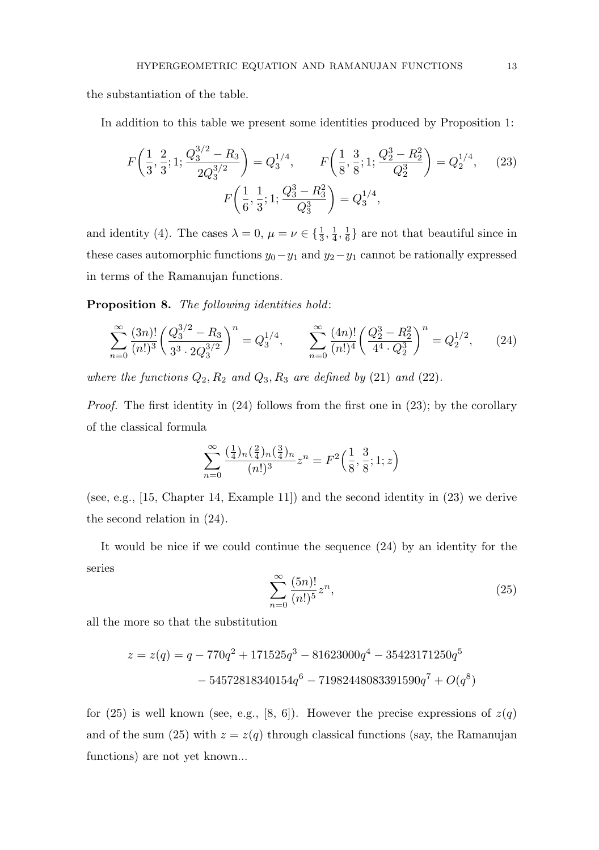the substantiation of the table.

In addition to this table we present some identities produced by Proposition 1:

$$
F\left(\frac{1}{3}, \frac{2}{3}; 1; \frac{Q_3^{3/2} - R_3}{2Q_3^{3/2}}\right) = Q_3^{1/4}, \qquad F\left(\frac{1}{8}, \frac{3}{8}; 1; \frac{Q_2^3 - R_2^2}{Q_2^3}\right) = Q_2^{1/4}, \qquad (23)
$$

$$
F\left(\frac{1}{6}, \frac{1}{3}; 1; \frac{Q_3^3 - R_3^2}{Q_3^3}\right) = Q_3^{1/4},
$$

and identity (4). The cases  $\lambda = 0, \mu = \nu \in \{\frac{1}{3}, \frac{1}{4}\}$  $\frac{1}{4}, \frac{1}{6}$  $\frac{1}{6}$  are not that beautiful since in these cases automorphic functions  $y_0-y_1$  and  $y_2-y_1$  cannot be rationally expressed in terms of the Ramanujan functions.

Proposition 8. The following identities hold:

$$
\sum_{n=0}^{\infty} \frac{(3n)!}{(n!)^3} \left(\frac{Q_3^{3/2} - R_3}{3^3 \cdot 2Q_3^{3/2}}\right)^n = Q_3^{1/4}, \qquad \sum_{n=0}^{\infty} \frac{(4n)!}{(n!)^4} \left(\frac{Q_2^3 - R_2^2}{4^4 \cdot Q_2^3}\right)^n = Q_2^{1/2}, \qquad (24)
$$

where the functions  $Q_2, R_2$  and  $Q_3, R_3$  are defined by (21) and (22).

Proof. The first identity in (24) follows from the first one in (23); by the corollary of the classical formula

$$
\sum_{n=0}^{\infty} \frac{(\frac{1}{4})_n(\frac{2}{4})_n(\frac{3}{4})_n}{(n!)^3} z^n = F^2\left(\frac{1}{8}, \frac{3}{8}; 1; z\right)
$$

(see, e.g., [15, Chapter 14, Example 11]) and the second identity in (23) we derive the second relation in (24).

It would be nice if we could continue the sequence (24) by an identity for the series

$$
\sum_{n=0}^{\infty} \frac{(5n)!}{(n!)^5} z^n,
$$
\n(25)

all the more so that the substitution

$$
z = z(q) = q - 770q^{2} + 171525q^{3} - 81623000q^{4} - 35423171250q^{5}
$$

$$
- 54572818340154q^{6} - 71982448083391590q^{7} + O(q^{8})
$$

for (25) is well known (see, e.g., [8, 6]). However the precise expressions of  $z(q)$ and of the sum (25) with  $z = z(q)$  through classical functions (say, the Ramanujan functions) are not yet known...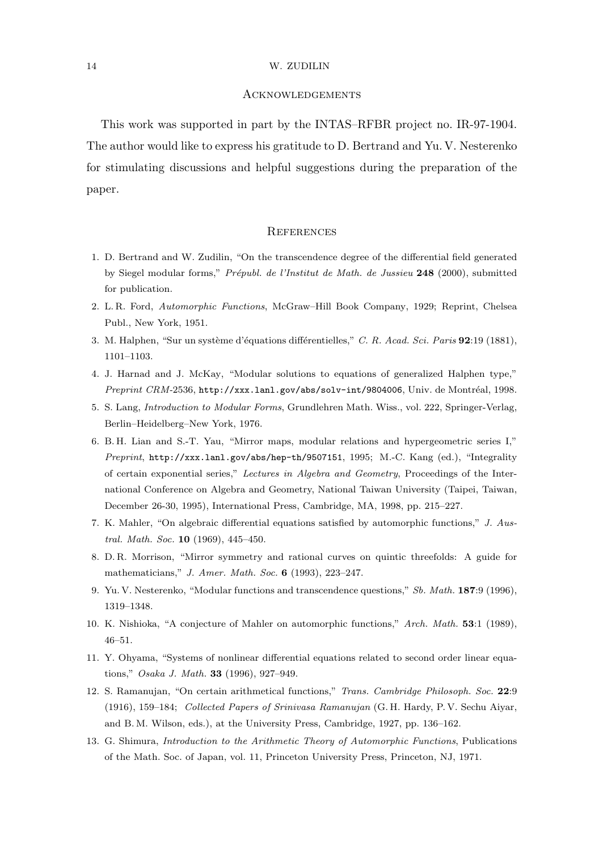## Acknowledgements

This work was supported in part by the INTAS–RFBR project no. IR-97-1904. The author would like to express his gratitude to D. Bertrand and Yu. V. Nesterenko for stimulating discussions and helpful suggestions during the preparation of the paper.

## **REFERENCES**

- 1. D. Bertrand and W. Zudilin, "On the transcendence degree of the differential field generated by Siegel modular forms," Prépubl. de l'Institut de Math. de Jussieu 248 (2000), submitted for publication.
- 2. L. R. Ford, Automorphic Functions, McGraw–Hill Book Company, 1929; Reprint, Chelsea Publ., New York, 1951.
- 3. M. Halphen, "Sur un système d'équations différentielles," C. R. Acad. Sci. Paris 92:19 (1881), 1101–1103.
- 4. J. Harnad and J. McKay, "Modular solutions to equations of generalized Halphen type," Preprint CRM-2536, http://xxx.lanl.gov/abs/solv-int/9804006, Univ. de Montréal, 1998.
- 5. S. Lang, Introduction to Modular Forms, Grundlehren Math. Wiss., vol. 222, Springer-Verlag, Berlin–Heidelberg–New York, 1976.
- 6. B. H. Lian and S.-T. Yau, "Mirror maps, modular relations and hypergeometric series I," Preprint, http://xxx.lanl.gov/abs/hep-th/9507151, 1995; M.-C. Kang (ed.), "Integrality of certain exponential series," Lectures in Algebra and Geometry, Proceedings of the International Conference on Algebra and Geometry, National Taiwan University (Taipei, Taiwan, December 26-30, 1995), International Press, Cambridge, MA, 1998, pp. 215–227.
- 7. K. Mahler, "On algebraic differential equations satisfied by automorphic functions," J. Austral. Math. Soc. **10** (1969), 445-450.
- 8. D. R. Morrison, "Mirror symmetry and rational curves on quintic threefolds: A guide for mathematicians," J. Amer. Math. Soc. 6 (1993), 223–247.
- 9. Yu. V. Nesterenko, "Modular functions and transcendence questions," Sb. Math. 187:9 (1996), 1319–1348.
- 10. K. Nishioka, "A conjecture of Mahler on automorphic functions," Arch. Math. 53:1 (1989), 46–51.
- 11. Y. Ohyama, "Systems of nonlinear differential equations related to second order linear equations," Osaka J. Math. 33 (1996), 927–949.
- 12. S. Ramanujan, "On certain arithmetical functions," Trans. Cambridge Philosoph. Soc. 22:9 (1916), 159–184; Collected Papers of Srinivasa Ramanujan (G. H. Hardy, P. V. Sechu Aiyar, and B. M. Wilson, eds.), at the University Press, Cambridge, 1927, pp. 136–162.
- 13. G. Shimura, Introduction to the Arithmetic Theory of Automorphic Functions, Publications of the Math. Soc. of Japan, vol. 11, Princeton University Press, Princeton, NJ, 1971.